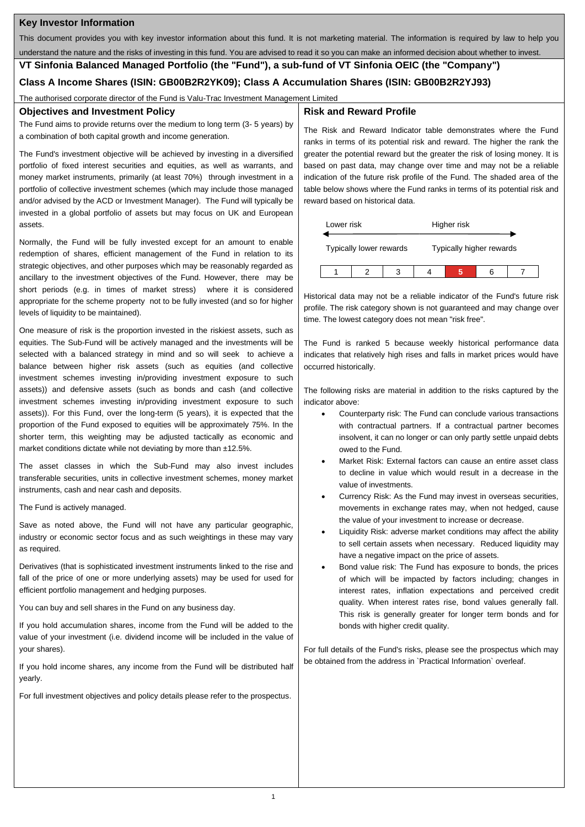# **Key Investor Information**

This document provides you with key investor information about this fund. It is not marketing material. The information is required by law to help you

understand the nature and the risks of investing in this fund. You are advised to read it so you can make an informed decision about whether to invest.

**VT Sinfonia Balanced Managed Portfolio (the "Fund"), a sub-fund of VT Sinfonia OEIC (the "Company")**

# **Class A Income Shares (ISIN: GB00B2R2YK09); Class A Accumulation Shares (ISIN: GB00B2R2YJ93)**

The authorised corporate director of the Fund is Valu-Trac Investment Management Limited

## **Objectives and Investment Policy**

The Fund aims to provide returns over the medium to long term (3- 5 years) by a combination of both capital growth and income generation.

The Fund's investment objective will be achieved by investing in a diversified portfolio of fixed interest securities and equities, as well as warrants, and money market instruments, primarily (at least 70%) through investment in a portfolio of collective investment schemes (which may include those managed and/or advised by the ACD or Investment Manager). The Fund will typically be invested in a global portfolio of assets but may focus on UK and European assets.

Normally, the Fund will be fully invested except for an amount to enable redemption of shares, efficient management of the Fund in relation to its strategic objectives, and other purposes which may be reasonably regarded as ancillary to the investment objectives of the Fund. However, there may be short periods (e.g. in times of market stress) where it is considered appropriate for the scheme property not to be fully invested (and so for higher levels of liquidity to be maintained).

One measure of risk is the proportion invested in the riskiest assets, such as equities. The Sub-Fund will be actively managed and the investments will be selected with a balanced strategy in mind and so will seek to achieve a balance between higher risk assets (such as equities (and collective investment schemes investing in/providing investment exposure to such assets)) and defensive assets (such as bonds and cash (and collective investment schemes investing in/providing investment exposure to such assets)). For this Fund, over the long-term (5 years), it is expected that the proportion of the Fund exposed to equities will be approximately 75%. In the shorter term, this weighting may be adjusted tactically as economic and market conditions dictate while not deviating by more than ±12.5%.

The asset classes in which the Sub-Fund may also invest includes transferable securities, units in collective investment schemes, money market instruments, cash and near cash and deposits.

The Fund is actively managed.

Save as noted above, the Fund will not have any particular geographic, industry or economic sector focus and as such weightings in these may vary as required.

Derivatives (that is sophisticated investment instruments linked to the rise and fall of the price of one or more underlying assets) may be used for used for efficient portfolio management and hedging purposes.

You can buy and sell shares in the Fund on any business day.

If you hold accumulation shares, income from the Fund will be added to the value of your investment (i.e. dividend income will be included in the value of your shares).

If you hold income shares, any income from the Fund will be distributed half yearly.

For full investment objectives and policy details please refer to the prospectus.

## **Risk and Reward Profile**

The Risk and Reward Indicator table demonstrates where the Fund ranks in terms of its potential risk and reward. The higher the rank the greater the potential reward but the greater the risk of losing money. It is based on past data, may change over time and may not be a reliable indication of the future risk profile of the Fund. The shaded area of the table below shows where the Fund ranks in terms of its potential risk and reward based on historical data.



Historical data may not be a reliable indicator of the Fund's future risk profile. The risk category shown is not guaranteed and may change over time. The lowest category does not mean "risk free".

The Fund is ranked 5 because weekly historical performance data indicates that relatively high rises and falls in market prices would have occurred historically.

The following risks are material in addition to the risks captured by the indicator above:

- Counterparty risk: The Fund can conclude various transactions with contractual partners. If a contractual partner becomes insolvent, it can no longer or can only partly settle unpaid debts owed to the Fund.
- Market Risk: External factors can cause an entire asset class to decline in value which would result in a decrease in the value of investments.
- Currency Risk: As the Fund may invest in overseas securities, movements in exchange rates may, when not hedged, cause the value of your investment to increase or decrease.
- Liquidity Risk: adverse market conditions may affect the ability to sell certain assets when necessary. Reduced liquidity may have a negative impact on the price of assets.
- Bond value risk: The Fund has exposure to bonds, the prices of which will be impacted by factors including; changes in interest rates, inflation expectations and perceived credit quality. When interest rates rise, bond values generally fall. This risk is generally greater for longer term bonds and for bonds with higher credit quality.

For full details of the Fund's risks, please see the prospectus which may be obtained from the address in `Practical Information` overleaf.